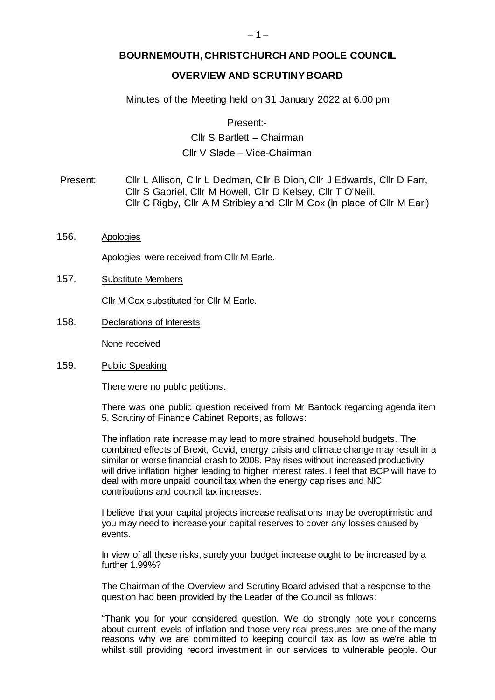## **BOURNEMOUTH, CHRISTCHURCH AND POOLE COUNCIL**

## **OVERVIEW AND SCRUTINY BOARD**

Minutes of the Meeting held on 31 January 2022 at 6.00 pm

Present:-

# Cllr S Bartlett – Chairman Cllr V Slade – Vice-Chairman

Present: Cllr L Allison, Cllr L Dedman, Cllr B Dion, Cllr J Edwards, Cllr D Farr, Cllr S Gabriel, Cllr M Howell, Cllr D Kelsey, Cllr T O'Neill, Cllr C Rigby, Cllr A M Stribley and Cllr M Cox (In place of Cllr M Earl)

156. Apologies

Apologies were received from Cllr M Earle.

157. Substitute Members

Cllr M Cox substituted for Cllr M Earle.

158. Declarations of Interests

None received

159. Public Speaking

There were no public petitions.

There was one public question received from Mr Bantock regarding agenda item 5, Scrutiny of Finance Cabinet Reports, as follows:

The inflation rate increase may lead to more strained household budgets. The combined effects of Brexit, Covid, energy crisis and climate change may result in a similar or worse financial crash to 2008. Pay rises without increased productivity will drive inflation higher leading to higher interest rates. I feel that BCP will have to deal with more unpaid council tax when the energy cap rises and NIC contributions and council tax increases.

I believe that your capital projects increase realisations may be overoptimistic and you may need to increase your capital reserves to cover any losses caused by events.

In view of all these risks, surely your budget increase ought to be increased by a further 1.99%?

The Chairman of the Overview and Scrutiny Board advised that a response to the question had been provided by the Leader of the Council as follows:

"Thank you for your considered question. We do strongly note your concerns about current levels of inflation and those very real pressures are one of the many reasons why we are committed to keeping council tax as low as we're able to whilst still providing record investment in our services to vulnerable people. Our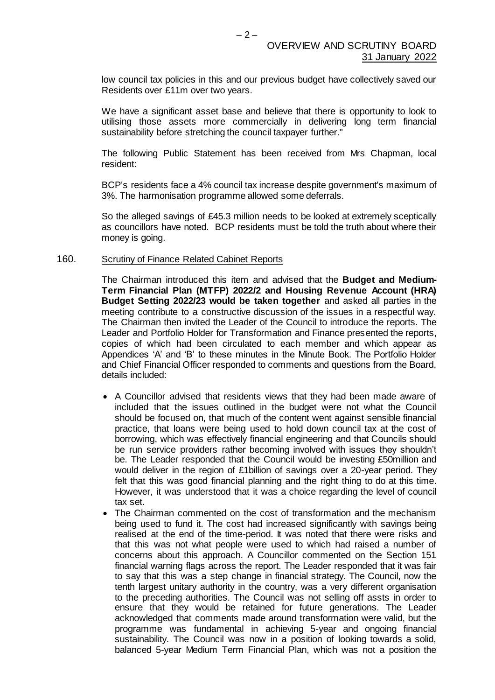low council tax policies in this and our previous budget have collectively saved our Residents over £11m over two years.

We have a significant asset base and believe that there is opportunity to look to utilising those assets more commercially in delivering long term financial sustainability before stretching the council taxpayer further."

The following Public Statement has been received from Mrs Chapman, local resident:

BCP's residents face a 4% council tax increase despite government's maximum of 3%. The harmonisation programme allowed some deferrals.

So the alleged savings of £45.3 million needs to be looked at extremely sceptically as councillors have noted. BCP residents must be told the truth about where their money is going.

#### 160. Scrutiny of Finance Related Cabinet Reports

The Chairman introduced this item and advised that the **Budget and Medium-Term Financial Plan (MTFP) 2022/2 and Housing Revenue Account (HRA) Budget Setting 2022/23 would be taken together** and asked all parties in the meeting contribute to a constructive discussion of the issues in a respectful way. The Chairman then invited the Leader of the Council to introduce the reports. The Leader and Portfolio Holder for Transformation and Finance presented the reports, copies of which had been circulated to each member and which appear as Appendices 'A' and 'B' to these minutes in the Minute Book. The Portfolio Holder and Chief Financial Officer responded to comments and questions from the Board, details included:

- A Councillor advised that residents views that they had been made aware of included that the issues outlined in the budget were not what the Council should be focused on, that much of the content went against sensible financial practice, that loans were being used to hold down council tax at the cost of borrowing, which was effectively financial engineering and that Councils should be run service providers rather becoming involved with issues they shouldn't be. The Leader responded that the Council would be investing £50million and would deliver in the region of £1billion of savings over a 20-year period. They felt that this was good financial planning and the right thing to do at this time. However, it was understood that it was a choice regarding the level of council tax set.
- The Chairman commented on the cost of transformation and the mechanism being used to fund it. The cost had increased significantly with savings being realised at the end of the time-period. It was noted that there were risks and that this was not what people were used to which had raised a number of concerns about this approach. A Councillor commented on the Section 151 financial warning flags across the report. The Leader responded that it was fair to say that this was a step change in financial strategy. The Council, now the tenth largest unitary authority in the country, was a very different organisation to the preceding authorities. The Council was not selling off assts in order to ensure that they would be retained for future generations. The Leader acknowledged that comments made around transformation were valid, but the programme was fundamental in achieving 5-year and ongoing financial sustainability. The Council was now in a position of looking towards a solid, balanced 5-year Medium Term Financial Plan, which was not a position the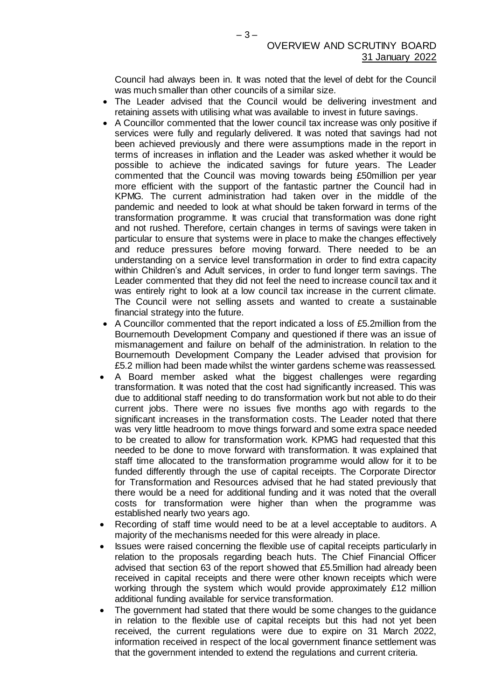Council had always been in. It was noted that the level of debt for the Council was much smaller than other councils of a similar size.

- The Leader advised that the Council would be delivering investment and retaining assets with utilising what was available to invest in future savings.
- A Councillor commented that the lower council tax increase was only positive if services were fully and regularly delivered. It was noted that savings had not been achieved previously and there were assumptions made in the report in terms of increases in inflation and the Leader was asked whether it would be possible to achieve the indicated savings for future years. The Leader commented that the Council was moving towards being £50million per year more efficient with the support of the fantastic partner the Council had in KPMG. The current administration had taken over in the middle of the pandemic and needed to look at what should be taken forward in terms of the transformation programme. It was crucial that transformation was done right and not rushed. Therefore, certain changes in terms of savings were taken in particular to ensure that systems were in place to make the changes effectively and reduce pressures before moving forward. There needed to be an understanding on a service level transformation in order to find extra capacity within Children's and Adult services, in order to fund longer term savings. The Leader commented that they did not feel the need to increase council tax and it was entirely right to look at a low council tax increase in the current climate. The Council were not selling assets and wanted to create a sustainable financial strategy into the future.
- A Councillor commented that the report indicated a loss of £5.2million from the Bournemouth Development Company and questioned if there was an issue of mismanagement and failure on behalf of the administration. In relation to the Bournemouth Development Company the Leader advised that provision for £5.2 million had been made whilst the winter gardens scheme was reassessed.
- A Board member asked what the biggest challenges were regarding transformation. It was noted that the cost had significantly increased. This was due to additional staff needing to do transformation work but not able to do their current jobs. There were no issues five months ago with regards to the significant increases in the transformation costs. The Leader noted that there was very little headroom to move things forward and some extra space needed to be created to allow for transformation work. KPMG had requested that this needed to be done to move forward with transformation. It was explained that staff time allocated to the transformation programme would allow for it to be funded differently through the use of capital receipts. The Corporate Director for Transformation and Resources advised that he had stated previously that there would be a need for additional funding and it was noted that the overall costs for transformation were higher than when the programme was established nearly two years ago.
- Recording of staff time would need to be at a level acceptable to auditors. A majority of the mechanisms needed for this were already in place.
- Issues were raised concerning the flexible use of capital receipts particularly in relation to the proposals regarding beach huts. The Chief Financial Officer advised that section 63 of the report showed that £5.5million had already been received in capital receipts and there were other known receipts which were working through the system which would provide approximately £12 million additional funding available for service transformation.
- The government had stated that there would be some changes to the guidance in relation to the flexible use of capital receipts but this had not yet been received, the current regulations were due to expire on 31 March 2022, information received in respect of the local government finance settlement was that the government intended to extend the regulations and current criteria.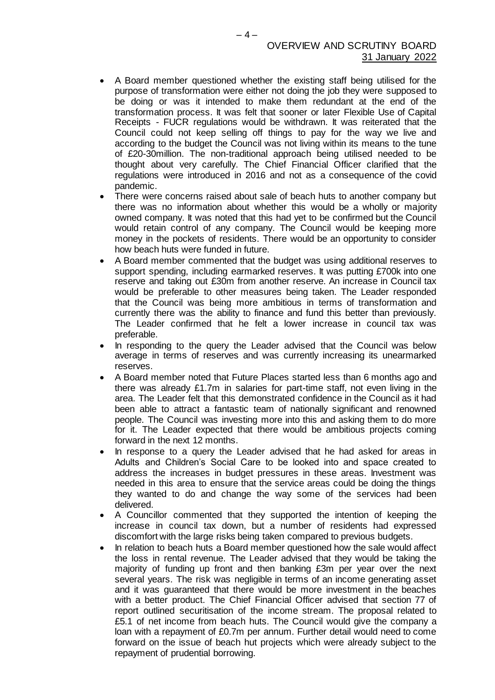- A Board member questioned whether the existing staff being utilised for the purpose of transformation were either not doing the job they were supposed to be doing or was it intended to make them redundant at the end of the transformation process. It was felt that sooner or later Flexible Use of Capital Receipts - FUCR regulations would be withdrawn. It was reiterated that the Council could not keep selling off things to pay for the way we live and according to the budget the Council was not living within its means to the tune of £20-30million. The non-traditional approach being utilised needed to be thought about very carefully. The Chief Financial Officer clarified that the regulations were introduced in 2016 and not as a consequence of the covid pandemic.
- There were concerns raised about sale of beach huts to another company but there was no information about whether this would be a wholly or majority owned company. It was noted that this had yet to be confirmed but the Council would retain control of any company. The Council would be keeping more money in the pockets of residents. There would be an opportunity to consider how beach huts were funded in future.
- A Board member commented that the budget was using additional reserves to support spending, including earmarked reserves. It was putting £700k into one reserve and taking out £30m from another reserve. An increase in Council tax would be preferable to other measures being taken. The Leader responded that the Council was being more ambitious in terms of transformation and currently there was the ability to finance and fund this better than previously. The Leader confirmed that he felt a lower increase in council tax was preferable.
- In responding to the query the Leader advised that the Council was below average in terms of reserves and was currently increasing its unearmarked reserves.
- A Board member noted that Future Places started less than 6 months ago and there was already £1.7m in salaries for part-time staff, not even living in the area. The Leader felt that this demonstrated confidence in the Council as it had been able to attract a fantastic team of nationally significant and renowned people. The Council was investing more into this and asking them to do more for it. The Leader expected that there would be ambitious projects coming forward in the next 12 months.
- In response to a query the Leader advised that he had asked for areas in Adults and Children's Social Care to be looked into and space created to address the increases in budget pressures in these areas. Investment was needed in this area to ensure that the service areas could be doing the things they wanted to do and change the way some of the services had been delivered.
- A Councillor commented that they supported the intention of keeping the increase in council tax down, but a number of residents had expressed discomfort with the large risks being taken compared to previous budgets.
- In relation to beach huts a Board member questioned how the sale would affect the loss in rental revenue. The Leader advised that they would be taking the majority of funding up front and then banking £3m per year over the next several years. The risk was negligible in terms of an income generating asset and it was guaranteed that there would be more investment in the beaches with a better product. The Chief Financial Officer advised that section 77 of report outlined securitisation of the income stream. The proposal related to £5.1 of net income from beach huts. The Council would give the company a loan with a repayment of £0.7m per annum. Further detail would need to come forward on the issue of beach hut projects which were already subject to the repayment of prudential borrowing.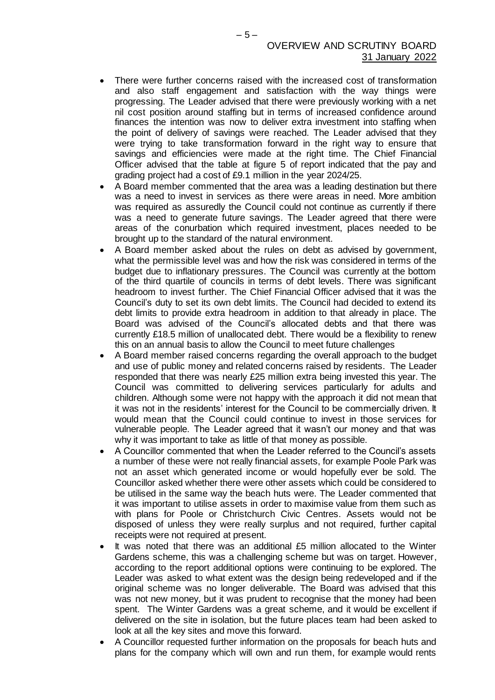- There were further concerns raised with the increased cost of transformation and also staff engagement and satisfaction with the way things were progressing. The Leader advised that there were previously working with a net nil cost position around staffing but in terms of increased confidence around finances the intention was now to deliver extra investment into staffing when the point of delivery of savings were reached. The Leader advised that they were trying to take transformation forward in the right way to ensure that savings and efficiencies were made at the right time. The Chief Financial Officer advised that the table at figure 5 of report indicated that the pay and grading project had a cost of £9.1 million in the year 2024/25.
- A Board member commented that the area was a leading destination but there was a need to invest in services as there were areas in need. More ambition was required as assuredly the Council could not continue as currently if there was a need to generate future savings. The Leader agreed that there were areas of the conurbation which required investment, places needed to be brought up to the standard of the natural environment.
- A Board member asked about the rules on debt as advised by government, what the permissible level was and how the risk was considered in terms of the budget due to inflationary pressures. The Council was currently at the bottom of the third quartile of councils in terms of debt levels. There was significant headroom to invest further. The Chief Financial Officer advised that it was the Council's duty to set its own debt limits. The Council had decided to extend its debt limits to provide extra headroom in addition to that already in place. The Board was advised of the Council's allocated debts and that there was currently £18.5 million of unallocated debt. There would be a flexibility to renew this on an annual basis to allow the Council to meet future challenges
- A Board member raised concerns regarding the overall approach to the budget and use of public money and related concerns raised by residents. The Leader responded that there was nearly £25 million extra being invested this year. The Council was committed to delivering services particularly for adults and children. Although some were not happy with the approach it did not mean that it was not in the residents' interest for the Council to be commercially driven. It would mean that the Council could continue to invest in those services for vulnerable people. The Leader agreed that it wasn't our money and that was why it was important to take as little of that money as possible.
- A Councillor commented that when the Leader referred to the Council's assets a number of these were not really financial assets, for example Poole Park was not an asset which generated income or would hopefully ever be sold. The Councillor asked whether there were other assets which could be considered to be utilised in the same way the beach huts were. The Leader commented that it was important to utilise assets in order to maximise value from them such as with plans for Poole or Christchurch Civic Centres. Assets would not be disposed of unless they were really surplus and not required, further capital receipts were not required at present.
- It was noted that there was an additional £5 million allocated to the Winter Gardens scheme, this was a challenging scheme but was on target. However, according to the report additional options were continuing to be explored. The Leader was asked to what extent was the design being redeveloped and if the original scheme was no longer deliverable. The Board was advised that this was not new money, but it was prudent to recognise that the money had been spent. The Winter Gardens was a great scheme, and it would be excellent if delivered on the site in isolation, but the future places team had been asked to look at all the key sites and move this forward.
- A Councillor requested further information on the proposals for beach huts and plans for the company which will own and run them, for example would rents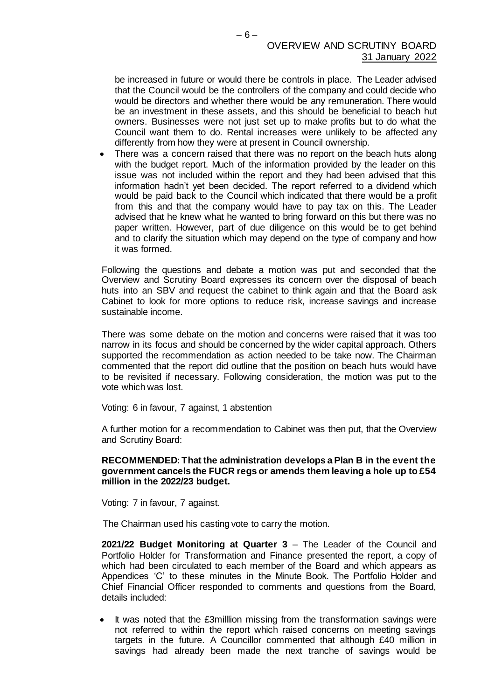be increased in future or would there be controls in place. The Leader advised that the Council would be the controllers of the company and could decide who would be directors and whether there would be any remuneration. There would be an investment in these assets, and this should be beneficial to beach hut owners. Businesses were not just set up to make profits but to do what the Council want them to do. Rental increases were unlikely to be affected any differently from how they were at present in Council ownership.

 There was a concern raised that there was no report on the beach huts along with the budget report. Much of the information provided by the leader on this issue was not included within the report and they had been advised that this information hadn't yet been decided. The report referred to a dividend which would be paid back to the Council which indicated that there would be a profit from this and that the company would have to pay tax on this. The Leader advised that he knew what he wanted to bring forward on this but there was no paper written. However, part of due diligence on this would be to get behind and to clarify the situation which may depend on the type of company and how it was formed.

Following the questions and debate a motion was put and seconded that the Overview and Scrutiny Board expresses its concern over the disposal of beach huts into an SBV and request the cabinet to think again and that the Board ask Cabinet to look for more options to reduce risk, increase savings and increase sustainable income.

There was some debate on the motion and concerns were raised that it was too narrow in its focus and should be concerned by the wider capital approach. Others supported the recommendation as action needed to be take now. The Chairman commented that the report did outline that the position on beach huts would have to be revisited if necessary. Following consideration, the motion was put to the vote which was lost.

Voting: 6 in favour, 7 against, 1 abstention

A further motion for a recommendation to Cabinet was then put, that the Overview and Scrutiny Board:

#### **RECOMMENDED: That the administration develops a Plan B in the event the government cancels the FUCR regs or amends them leaving a hole up to £54 million in the 2022/23 budget.**

Voting: 7 in favour, 7 against.

The Chairman used his casting vote to carry the motion.

**2021/22 Budget Monitoring at Quarter 3** – The Leader of the Council and Portfolio Holder for Transformation and Finance presented the report, a copy of which had been circulated to each member of the Board and which appears as Appendices 'C' to these minutes in the Minute Book. The Portfolio Holder and Chief Financial Officer responded to comments and questions from the Board, details included:

• It was noted that the £3milllion missing from the transformation savings were not referred to within the report which raised concerns on meeting savings targets in the future. A Councillor commented that although £40 million in savings had already been made the next tranche of savings would be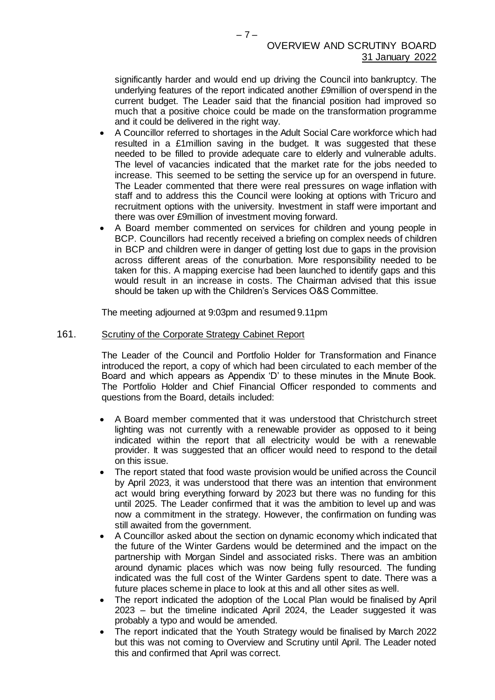significantly harder and would end up driving the Council into bankruptcy. The underlying features of the report indicated another £9million of overspend in the current budget. The Leader said that the financial position had improved so much that a positive choice could be made on the transformation programme and it could be delivered in the right way.

- A Councillor referred to shortages in the Adult Social Care workforce which had resulted in a £1million saving in the budget. It was suggested that these needed to be filled to provide adequate care to elderly and vulnerable adults. The level of vacancies indicated that the market rate for the jobs needed to increase. This seemed to be setting the service up for an overspend in future. The Leader commented that there were real pressures on wage inflation with staff and to address this the Council were looking at options with Tricuro and recruitment options with the university. Investment in staff were important and there was over £9million of investment moving forward.
- A Board member commented on services for children and young people in BCP. Councillors had recently received a briefing on complex needs of children in BCP and children were in danger of getting lost due to gaps in the provision across different areas of the conurbation. More responsibility needed to be taken for this. A mapping exercise had been launched to identify gaps and this would result in an increase in costs. The Chairman advised that this issue should be taken up with the Children's Services O&S Committee.

The meeting adjourned at 9:03pm and resumed 9.11pm

#### 161. Scrutiny of the Corporate Strategy Cabinet Report

The Leader of the Council and Portfolio Holder for Transformation and Finance introduced the report, a copy of which had been circulated to each member of the Board and which appears as Appendix 'D' to these minutes in the Minute Book. The Portfolio Holder and Chief Financial Officer responded to comments and questions from the Board, details included:

- A Board member commented that it was understood that Christchurch street lighting was not currently with a renewable provider as opposed to it being indicated within the report that all electricity would be with a renewable provider. It was suggested that an officer would need to respond to the detail on this issue.
- The report stated that food waste provision would be unified across the Council by April 2023, it was understood that there was an intention that environment act would bring everything forward by 2023 but there was no funding for this until 2025. The Leader confirmed that it was the ambition to level up and was now a commitment in the strategy. However, the confirmation on funding was still awaited from the government.
- A Councillor asked about the section on dynamic economy which indicated that the future of the Winter Gardens would be determined and the impact on the partnership with Morgan Sindel and associated risks. There was an ambition around dynamic places which was now being fully resourced. The funding indicated was the full cost of the Winter Gardens spent to date. There was a future places scheme in place to look at this and all other sites as well.
- The report indicated the adoption of the Local Plan would be finalised by April 2023 – but the timeline indicated April 2024, the Leader suggested it was probably a typo and would be amended.
- The report indicated that the Youth Strategy would be finalised by March 2022 but this was not coming to Overview and Scrutiny until April. The Leader noted this and confirmed that April was correct.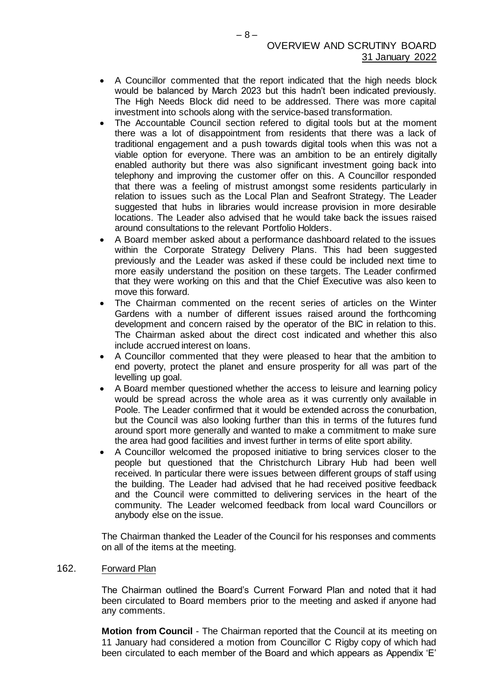- A Councillor commented that the report indicated that the high needs block would be balanced by March 2023 but this hadn't been indicated previously. The High Needs Block did need to be addressed. There was more capital investment into schools along with the service-based transformation.
- The Accountable Council section refered to digital tools but at the moment there was a lot of disappointment from residents that there was a lack of traditional engagement and a push towards digital tools when this was not a viable option for everyone. There was an ambition to be an entirely digitally enabled authority but there was also significant investment going back into telephony and improving the customer offer on this. A Councillor responded that there was a feeling of mistrust amongst some residents particularly in relation to issues such as the Local Plan and Seafront Strategy. The Leader suggested that hubs in libraries would increase provision in more desirable locations. The Leader also advised that he would take back the issues raised around consultations to the relevant Portfolio Holders.
- A Board member asked about a performance dashboard related to the issues within the Corporate Strategy Delivery Plans. This had been suggested previously and the Leader was asked if these could be included next time to more easily understand the position on these targets. The Leader confirmed that they were working on this and that the Chief Executive was also keen to move this forward.
- The Chairman commented on the recent series of articles on the Winter Gardens with a number of different issues raised around the forthcoming development and concern raised by the operator of the BIC in relation to this. The Chairman asked about the direct cost indicated and whether this also include accrued interest on loans.
- A Councillor commented that they were pleased to hear that the ambition to end poverty, protect the planet and ensure prosperity for all was part of the levelling up goal.
- A Board member questioned whether the access to leisure and learning policy would be spread across the whole area as it was currently only available in Poole. The Leader confirmed that it would be extended across the conurbation, but the Council was also looking further than this in terms of the futures fund around sport more generally and wanted to make a commitment to make sure the area had good facilities and invest further in terms of elite sport ability.
- A Councillor welcomed the proposed initiative to bring services closer to the people but questioned that the Christchurch Library Hub had been well received. In particular there were issues between different groups of staff using the building. The Leader had advised that he had received positive feedback and the Council were committed to delivering services in the heart of the community. The Leader welcomed feedback from local ward Councillors or anybody else on the issue.

The Chairman thanked the Leader of the Council for his responses and comments on all of the items at the meeting.

### 162. Forward Plan

The Chairman outlined the Board's Current Forward Plan and noted that it had been circulated to Board members prior to the meeting and asked if anyone had any comments.

**Motion from Council** - The Chairman reported that the Council at its meeting on 11 January had considered a motion from Councillor C Rigby copy of which had been circulated to each member of the Board and which appears as Appendix 'E'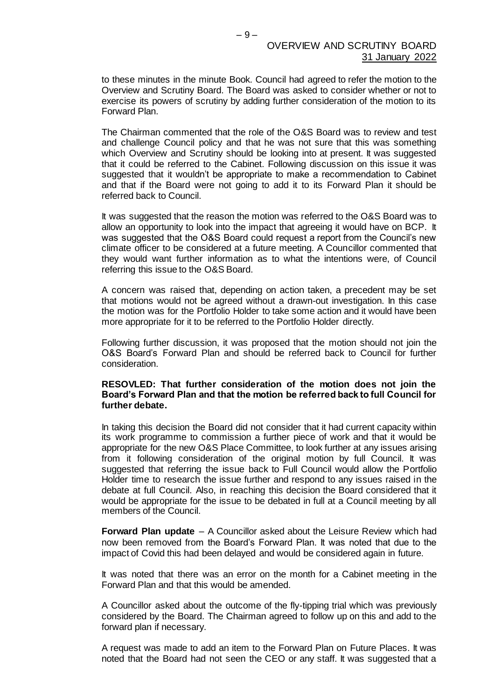to these minutes in the minute Book. Council had agreed to refer the motion to the Overview and Scrutiny Board. The Board was asked to consider whether or not to exercise its powers of scrutiny by adding further consideration of the motion to its Forward Plan.

The Chairman commented that the role of the O&S Board was to review and test and challenge Council policy and that he was not sure that this was something which Overview and Scrutiny should be looking into at present. It was suggested that it could be referred to the Cabinet. Following discussion on this issue it was suggested that it wouldn't be appropriate to make a recommendation to Cabinet and that if the Board were not going to add it to its Forward Plan it should be referred back to Council.

It was suggested that the reason the motion was referred to the O&S Board was to allow an opportunity to look into the impact that agreeing it would have on BCP. It was suggested that the O&S Board could request a report from the Council's new climate officer to be considered at a future meeting. A Councillor commented that they would want further information as to what the intentions were, of Council referring this issue to the O&S Board.

A concern was raised that, depending on action taken, a precedent may be set that motions would not be agreed without a drawn-out investigation. In this case the motion was for the Portfolio Holder to take some action and it would have been more appropriate for it to be referred to the Portfolio Holder directly.

Following further discussion, it was proposed that the motion should not join the O&S Board's Forward Plan and should be referred back to Council for further consideration.

#### **RESOVLED: That further consideration of the motion does not join the Board's Forward Plan and that the motion be referred back to full Council for further debate.**

In taking this decision the Board did not consider that it had current capacity within its work programme to commission a further piece of work and that it would be appropriate for the new O&S Place Committee, to look further at any issues arising from it following consideration of the original motion by full Council. It was suggested that referring the issue back to Full Council would allow the Portfolio Holder time to research the issue further and respond to any issues raised in the debate at full Council. Also, in reaching this decision the Board considered that it would be appropriate for the issue to be debated in full at a Council meeting by all members of the Council.

**Forward Plan update** – A Councillor asked about the Leisure Review which had now been removed from the Board's Forward Plan. It was noted that due to the impact of Covid this had been delayed and would be considered again in future.

It was noted that there was an error on the month for a Cabinet meeting in the Forward Plan and that this would be amended.

A Councillor asked about the outcome of the fly-tipping trial which was previously considered by the Board. The Chairman agreed to follow up on this and add to the forward plan if necessary.

A request was made to add an item to the Forward Plan on Future Places. It was noted that the Board had not seen the CEO or any staff. It was suggested that a